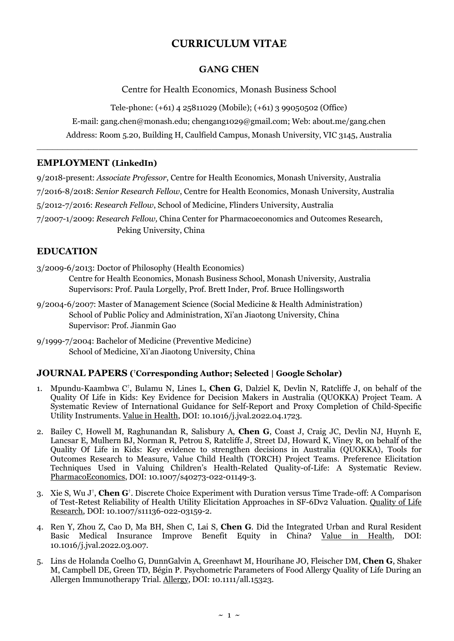# CURRICULUM VITAE

### GANG CHEN

Centre for Health Economics, Monash Business School

Tele-phone: (+61) 4 25811029 (Mobile); (+61) 3 99050502 (Office)

E-mail: gang.chen@monash.edu; [chengang1029@gmail.com;](mailto:chengang1029@gmail.com) Web: [about.me/gang.chen](http://about.me/gang.chen)

Address: Room 5.20, Building H, Caulfield Campus, Monash University, VIC 3145, Australia  $\_$  , and the set of the set of the set of the set of the set of the set of the set of the set of the set of the set of the set of the set of the set of the set of the set of the set of the set of the set of the set of th

### **EMPLOYMENT [\(LinkedIn\)](http://au.linkedin.com/in/chengang1029)**

9/2018-present: *Associate Professor*[, Centre for Health Economics,](http://business.monash.edu/centre-for-health-economics) [Monash University,](http://www.monash.edu/) Australia 7/2016-8/2018: *Senior Research Fellow*, Centre for [Health Economics,](http://business.monash.edu/centre-for-health-economics) Monash [University,](http://www.monash.edu/) Australia 5/2012-7/2016: *Research Fellow*, [School of Medicine,](http://www.flinders.edu.au/medicine/) [Flinders University,](http://www.flinders.edu.au/) Australia 7/2007-1/2009: *Research Fellow,* China Center for Pharmacoeconomics and Outcomes Research,

[Peking University,](http://www.pku.edu.cn/) China

## **EDUCATION**

- 3/2009-6/2013: Doctor of Philosophy (Health Economics) [Centre for Health Economics,](http://business.monash.edu/centre-for-health-economics) [Monash Business School,](http://business.monash.edu/) [Monash University,](http://www.monash.edu/) Australia Supervisors: [Prof. Paula Lorgelly,](https://iris.ucl.ac.uk/iris/browse/profile?upi=PLORG17) [Prof. Brett Inder,](https://www2.monash.edu/impact/people/professor-brett-inder/) [Prof. Bruce Hollingsworth](https://www.lancaster.ac.uk/health-and-medicine/about-us/people/bruce-hollingsworth)
- 9/2004-6/2007: Master of Management Science (Social Medicine & Health Administration) School of Public Policy and Administration, Xi'an Jiaotong University, China Supervisor: [Prof. Jianmin Gao](http://www.xjtu.edu.cn/jsnr.jsp?urltype=tree.TreeTempUrl&wbtreeid=1632&wbwbxjtuteacherid=414)
- 9/1999-7/2004: Bachelor of Medicine (Preventive Medicine) School of Medicine, Xi'an Jiaotong University, China

### **JOURNAL PAPERS ( †Corresponding Author; Selected | [Google Scholar\)](https://scholar.google.com/citations?user=NAS8u4UAAAAJ&hl=en)**

- 1. Mpundu-Kaambwa C† , Bulamu N, Lines L, **Chen G**, Dalziel K, Devlin N, Ratcliffe J, on behalf of the Quality Of Life in Kids: Key Evidence for Decision Makers in Australia (QUOKKA) Project Team. [A](https://www.sciencedirect.com/science/article/pii/S1098301522019246)  [Systematic Review of International Guidance for Self-Report and Proxy Completion of Child-Specific](https://www.sciencedirect.com/science/article/pii/S1098301522019246)  [Utility Instruments.](https://www.sciencedirect.com/science/article/pii/S1098301522019246) [Value in Health,](http://www.valueinhealthjournal.com/) DOI: 10.1016/j.jval.2022.04.1723.
- 2. Bailey C, Howell M, Raghunandan R, Salisbury A, **Chen G**, Coast J, Craig JC, Devlin NJ, Huynh E, Lancsar E, Mulhern BJ, Norman R, Petrou S, Ratcliffe J, Street DJ, Howard K, Viney R, on behalf of the Quality Of Life in Kids: Key evidence to strengthen decisions in Australia (QUOKKA), Tools for Outcomes Research to Measure, Value Child Health (TORCH) Project Teams. [Preference Elicitation](https://link.springer.com/article/10.1007/s40273-022-01149-3)  [Techniques Used in Valuing Children's Health](https://link.springer.com/article/10.1007/s40273-022-01149-3)-Related Quality-of-Life: A Systematic Review. [PharmacoEconomics,](https://www.springer.com/journal/40273) DOI: 10.1007/s40273-022-01149-3.
- 3. Xie S, Wu J† , **Chen G**† . [Discrete Choice Experiment with Duration versus Time Trade-off: A Comparison](https://rdcu.be/cOgwz)  [of Test-Retest Reliability of Health Utility Elicitation Approaches in SF-6Dv2 Valuation.](https://rdcu.be/cOgwz) [Quality of Life](http://link.springer.com/journal/11136)  [Research,](http://link.springer.com/journal/11136) DOI: 10.1007/s11136-022-03159-2.
- 4. Ren Y, Zhou Z, Cao D, Ma BH, Shen C, Lai S, **Chen G**. [Did the Integrated Urban and Rural Resident](https://doi.org/10.1016/j.jval.2022.03.007)  [Basic Medical Insurance Improve Benefit Equity in China?](https://doi.org/10.1016/j.jval.2022.03.007) [Value in Health,](http://www.valueinhealthjournal.com/) DOI: 10.1016/j.jval.2022.03.007.
- 5. Lins de Holanda Coelho G, DunnGalvin A, Greenhawt M, Hourihane JO, Fleischer DM, **Chen G**, Shaker M, Campbell DE, Green TD, Bégin P. [Psychometric Parameters of Food Allergy Quality of Life During an](https://onlinelibrary.wiley.com/doi/10.1111/all.15323)  [Allergen Immunotherapy Trial.](https://onlinelibrary.wiley.com/doi/10.1111/all.15323) [Allergy,](https://onlinelibrary.wiley.com/doi/abs/10.1111/all.15283) DOI: 10.1111/all.15323.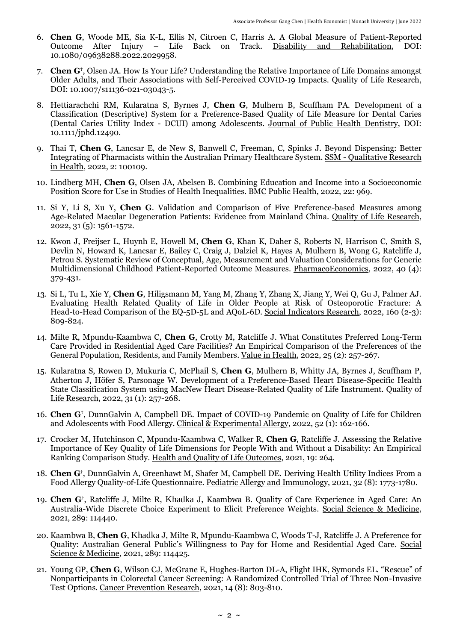- 6. **Chen G**, Woode ME, Sia K-L, Ellis N, Citroen C, Harris A. [A Global Measure of Patient-Reported](https://www.tandfonline.com/doi/full/10.1080/09638288.2022.2029958)  Back on Track. [Disability and Rehabilitation,](https://www.tandfonline.com/journals/idre20) DOI: 10.1080/09638288.2022.2029958.
- 7. **Chen G†** , Olsen JA. [How Is Your Life? Understanding the Relative Importance of Life Domains amongst](https://rdcu.be/cEp3N) [Older Adults, and Their Associations with Self-Perceived COVID-19 Impacts.](https://rdcu.be/cEp3N) [Quality of Life Research,](http://link.springer.com/journal/11136) DOI: 10.1007/s11136-021-03043-5.
- 8. Hettiarachchi RM, Kularatna S, Byrnes J, **Chen G**, Mulhern B, Scuffham PA. [Development of a](https://onlinelibrary.wiley.com/share/author/MW8RHDCUA3IH3ZIXGUIY?target=10.1111/jphd.12490)  [Classification \(Descriptive\) System for a Preference-Based Quality of Life Measure for Dental Caries](https://onlinelibrary.wiley.com/share/author/MW8RHDCUA3IH3ZIXGUIY?target=10.1111/jphd.12490)  [\(Dental Caries Utility Index -](https://onlinelibrary.wiley.com/share/author/MW8RHDCUA3IH3ZIXGUIY?target=10.1111/jphd.12490) DCUI) among Adolescents. [Journal of Public Health Dentistry,](https://onlinelibrary.wiley.com/journal/17527325) DOI: 10.1111/jphd.12490.
- 9. Thai T, **Chen G**, Lancsar E, de New S, Banwell C, Freeman, C, Spinks J. [Beyond Dispensing: Better](https://www.sciencedirect.com/science/article/pii/S2667321522000713)  [Integrating of Pharmacists within the Australian Primary Healthcare System.](https://www.sciencedirect.com/science/article/pii/S2667321522000713) SSM - [Qualitative Research](https://www.journals.elsevier.com/ssm-qualitative-research-in-health)  [in Health,](https://www.journals.elsevier.com/ssm-qualitative-research-in-health) 2022, 2: 100109.
- 10. Lindberg MH, **Chen G**, Olsen JA, Abelsen B. [Combining Education and Income into a Socioeconomic](https://bmcpublichealth.biomedcentral.com/articles/10.1186/s12889-022-13366-8)  [Position Score for Use in Studies of Health Inequalities.](https://bmcpublichealth.biomedcentral.com/articles/10.1186/s12889-022-13366-8) [BMC Public Health,](https://bmcpublichealth.biomedcentral.com/) 2022, 22: 969.
- 11. Si Y, Li S, Xu Y, **Chen G**. [Validation and Comparison of Five Preference-based Measures among](https://link.springer.com/article/10.1007/s11136-021-03047-1)  [Age-Related Macular Degeneration Patients: Evidence from Mainland China.](https://link.springer.com/article/10.1007/s11136-021-03047-1) [Quality of Life Research,](http://link.springer.com/journal/11136) 2022, 31 (5): 1561-1572.
- 12. Kwon J, Freijser L, Huynh E, Howell M, **Chen G**, Khan K, Daher S, Roberts N, Harrison C, Smith S, Devlin N, Howard K, Lancsar E, Bailey C, Craig J, Dalziel K, Hayes A, Mulhern B, Wong G, Ratcliffe J, Petrou S. [Systematic Review of Conceptual, Age, Measurement and Valuation Considerations for Generic](https://link.springer.com/article/10.1007/s40273-021-01128-0)  [Multidimensional Childhood Patient-Reported Outcome Measures.](https://link.springer.com/article/10.1007/s40273-021-01128-0) [PharmacoEconomics,](https://www.springer.com/journal/40273) 2022, 40 (4): 379-431.
- 13. Si L, Tu L, Xie Y, **Chen G**, Hiligsmann M, Yang M, Zhang Y, Zhang X, Jiang Y, Wei Q, Gu J, Palmer AJ. [Evaluating Health Related Quality of Life in Older People at Risk of Osteoporotic Fracture: A](https://doi.org/10.1007/s11205-020-02414-8)  [Head-to-Head Comparison of the EQ-5D-5L and AQoL-6D.](https://doi.org/10.1007/s11205-020-02414-8) [Social Indicators Research,](https://www.springer.com/journal/11205) 2022, 160 (2-3): 809-824.
- 14. Milte R, Mpundu-Kaambwa C, **Chen G**, Crotty M, Ratcliffe J. [What Constitutes Preferred Long-Term](https://www.sciencedirect.com/science/article/pii/S1098301521017320)  [Care Provided in Residential Aged Care Facilities? An Empirical Comparison of the Preferences of the](https://www.sciencedirect.com/science/article/pii/S1098301521017320)  [General Population, Residents, and Family Members.](https://www.sciencedirect.com/science/article/pii/S1098301521017320) [Value in Health,](http://www.valueinhealthjournal.com/) 2022, 25 (2): 257-267.
- 15. Kularatna S, Rowen D, Mukuria C, McPhail S, **Chen G**, Mulhern B, Whitty JA, Byrnes J, Scuffham P, Atherton J, Höfer S, Parsonage W. [Development of a Preference-Based Heart Disease-Specific Health](https://rdcu.be/clnXn)  [State Classification System using MacNew Heart Disease-Related Quality of Life Instrument.](https://rdcu.be/clnXn) [Quality of](http://link.springer.com/journal/11136)  [Life Research,](http://link.springer.com/journal/11136) 2022, 31 (1): 257-268.
- 16. **Chen G†** , DunnGalvin A, Campbell DE. [Impact of COVID-19 Pandemic on Quality of Life for Children](https://onlinelibrary.wiley.com/doi/10.1111/cea.13973)  [and Adolescents with Food Allergy.](https://onlinelibrary.wiley.com/doi/10.1111/cea.13973) [Clinical & Experimental Allergy,](https://onlinelibrary.wiley.com/journal/13652222) 2022, 52 (1): 162-166.
- 17. Crocker M, Hutchinson C, Mpundu-Kaambwa C, Walker R, **Chen G**, Ratcliffe J. [Assessing the Relative](https://hqlo.biomedcentral.com/articles/10.1186/s12955-021-01901-x)  [Importance of Key Quality of Life Dimensions for People With and Without a Disability: An Empirical](https://hqlo.biomedcentral.com/articles/10.1186/s12955-021-01901-x)  [Ranking Comparison Study.](https://hqlo.biomedcentral.com/articles/10.1186/s12955-021-01901-x) [Health and Quality of Life Outcomes,](http://www.hqlo.com/) 2021, 19: 264.
- 18. **Chen G†** , DunnGalvin A, Greenhawt M, Shafer M, Campbell DE. [Deriving Health Utility Indices From a](https://onlinelibrary.wiley.com/doi/full/10.1111/pai.13604)  [Food Allergy Quality-of-Life Questionnaire.](https://onlinelibrary.wiley.com/doi/full/10.1111/pai.13604) [Pediatric Allergy and Immunology,](https://onlinelibrary.wiley.com/journal/13993038) 2021, 32 (8): 1773-1780.
- 19. **Chen G†** , Ratcliffe J, Milte R, Khadka J, Kaambwa B. [Quality of Care Experience in Aged Care: An](https://www.sciencedirect.com/science/article/pii/S0277953621007723)  [Australia-Wide Discrete Choice Experiment to Elicit Preference Weights.](https://www.sciencedirect.com/science/article/pii/S0277953621007723) [Social Science & Medicine,](http://www.journals.elsevier.com/social-science-and-medicine/) 2021, 289: 114440.
- 20. Kaambwa B, **Chen G**, Khadka J, Milte R, Mpundu-Kaambwa C, Woods T-J, Ratcliffe J. [A Preference for](https://www.sciencedirect.com/science/article/abs/pii/S0277953621007577)  [Quality: Australian General Public's Willingness to Pay for Home and Residential Aged Care](https://www.sciencedirect.com/science/article/abs/pii/S0277953621007577). [Social](http://www.journals.elsevier.com/social-science-and-medicine/)  [Science & Medicine,](http://www.journals.elsevier.com/social-science-and-medicine/) 2021, 289: 114425.
- 21. Young GP, **Chen G**, Wilson CJ, McGrane E, Hughes-Barton DL-A, Flight IHK, Symonds EL. ["Rescue" of](https://cancerpreventionresearch.aacrjournals.org/content/early/2021/06/11/1940-6207.CAPR-21-0080)  [Nonparticipants in Colorectal Cancer Screening: A Randomized Controlled Trial of Three Non-Invasive](https://cancerpreventionresearch.aacrjournals.org/content/early/2021/06/11/1940-6207.CAPR-21-0080)  [Test Options.](https://cancerpreventionresearch.aacrjournals.org/content/early/2021/06/11/1940-6207.CAPR-21-0080) [Cancer Prevention Research,](https://cancerpreventionresearch.aacrjournals.org/) 2021, 14 (8): 803-810.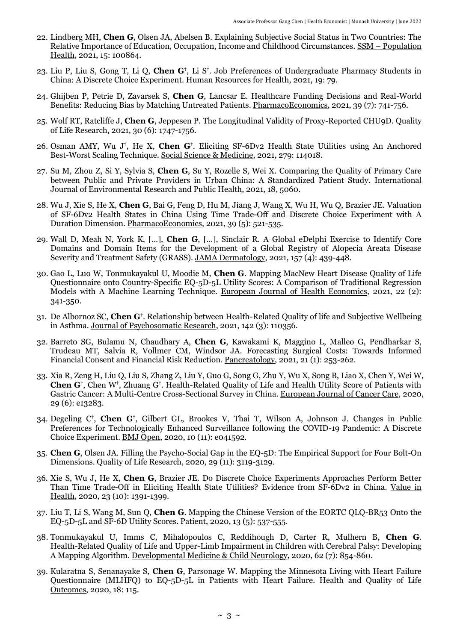- 22. Lindberg MH, **Chen G**, Olsen JA, Abelsen B. [Explaining Subjective Social Status in Two Countries: The](https://www.sciencedirect.com/science/article/pii/S2352827321001397)  [Relative Importance of Education, Occupation, Income and Childhood Circumstances.](https://www.sciencedirect.com/science/article/pii/S2352827321001397) SSM – [Population](https://www.journals.elsevier.com/ssm-population-health)  [Health,](https://www.journals.elsevier.com/ssm-population-health) 2021, 15: 100864.
- 23. Liu P, Liu S, Gong T, Li Q, Chen G<sup>†</sup>, Li S<sup>†</sup>. Job Preferences of Undergraduate Pharmacy Students in [China: A Discrete Choice Experiment.](https://human-resources-health.biomedcentral.com/articles/10.1186/s12960-021-00626-8) [Human Resources for Health,](https://human-resources-health.biomedcentral.com/) 2021, 19: 79.
- 24. Ghijben P, Petrie D, Zavarsek S, **Chen G**, Lancsar E. [Healthcare Funding Decisions and Real-World](https://link.springer.com/article/10.1007/s40273-021-01020-x)  [Benefits: Reducing Bias by Matching Untreated Patients.](https://link.springer.com/article/10.1007/s40273-021-01020-x) [PharmacoEconomics,](https://www.springer.com/journal/40273) 2021, 39 (7): 741-756.
- 25. Wolf RT, Ratcliffe J, **Chen G**, Jeppesen P. [The Longitudinal Validity of Proxy-Reported CHU9D.](https://link.springer.com/article/10.1007/s11136-021-02774-9) [Quality](http://link.springer.com/journal/11136)  of Life [Research,](http://link.springer.com/journal/11136) 2021, 30 (6): 1747-1756.
- 26. Osman AMY, Wu J**†** , He X, **Chen G†** . [Eliciting SF-6Dv2 Health State Utilities using An Anchored](https://authors.elsevier.com/c/1d3U1-CmUs0po)  [Best-Worst Scaling Technique.](https://authors.elsevier.com/c/1d3U1-CmUs0po) [Social Science & Medicine,](http://www.journals.elsevier.com/social-science-and-medicine/) 2021, 279: 114018.
- 27. Su M, Zhou Z, Si Y, Sylvia S, **Chen G**, Su Y, Rozelle S, Wei X. [Comparing the Quality of Primary Care](https://www.mdpi.com/1660-4601/18/10/5060/htm)  [between Public and Private Providers in Urban China: A Standardized Patient Study.](https://www.mdpi.com/1660-4601/18/10/5060/htm) [International](http://www.mdpi.com/journal/ijerph)  Journal of [Environmental Research and Public Health,](http://www.mdpi.com/journal/ijerph) 2021, 18, 5060.
- 28. Wu J, Xie S, He X, **Chen G**, Bai G, Feng D, Hu M, Jiang J, Wang X, Wu H, Wu Q, Brazier JE. [Valuation](https://link.springer.com/article/10.1007/s40273-020-00997-1)  of SF-6Dv2 Health States [in China Using Time Trade-Off and Discrete Choice Experiment with A](https://link.springer.com/article/10.1007/s40273-020-00997-1)  [Duration Dimension.](https://link.springer.com/article/10.1007/s40273-020-00997-1) [PharmacoEconomics,](https://www.springer.com/journal/40273) 2021, 39 (5): 521-535.
- 29. Wall D, Meah N, York K, […], **Chen G**, […], Sinclair R. [A Global eDelphi Exercise to Identify Core](https://jamanetwork.com/journals/jamadermatology/article-abstract/2777009)  [Domains and Domain Items for the Development of a Global Registry of Alopecia Areata Disease](https://jamanetwork.com/journals/jamadermatology/article-abstract/2777009)  [Severity and Treatment Safety \(GRASS\).](https://jamanetwork.com/journals/jamadermatology/article-abstract/2777009) [JAMA Dermatology,](https://jamanetwork.com/journals/jamadermatology) 2021, 157 (4): 439-448.
- 30. Gao L, Luo W, Tonmukayakul U, Moodie M, **Chen G**. [Mapping MacNew Heart Disease Quality of Life](https://link.springer.com/article/10.1007/s10198-020-01259-9)  [Questionnaire onto Country-Specific EQ-5D-5L Utility Scores: A Comparison of Traditional Regression](https://link.springer.com/article/10.1007/s10198-020-01259-9)  [Models with A Machine Learning Technique.](https://link.springer.com/article/10.1007/s10198-020-01259-9) [European Journal of Health Economics,](https://www.springer.com/journal/10198) 2021, 22 (2): 341-350.
- 31. De Albornoz SC, **Chen G†** . [Relationship between Health-Related Quality of life and Subjective Wellbeing](https://authors.elsevier.com/a/1cPkZ55zZLOvF)  [in Asthma.](https://authors.elsevier.com/a/1cPkZ55zZLOvF) [Journal of Psychosomatic Research,](https://www.journals.elsevier.com/journal-of-psychosomatic-research) 2021, 142 (3): 110356.
- 32. Barreto SG, Bulamu N, Chaudhary A, **Chen G**, Kawakami K, Maggino L, Malleo G, Pendharkar S, Trudeau MT, Salvia R, Vollmer CM, Windsor JA. [Forecasting Surgical Costs: Towards Informed](https://www.sciencedirect.com/science/article/abs/pii/S1424390320308747)  [Financial Consent and Financial Risk Reduction.](https://www.sciencedirect.com/science/article/abs/pii/S1424390320308747) [Pancreatology,](https://www.journals.elsevier.com/pancreatology) 2021, 21 (1): 253-262.
- 33. Xia R, Zeng H, Liu Q, Liu S, Zhang Z, Liu Y, Guo G, Song G, Zhu Y, Wu X, Song B, Liao X, Chen Y, Wei W, **Chen G†** , Chen W**†** , Zhuang G**†** . [Health-Related Quality of Life and Health Utility Score of Patients with](https://onlinelibrary.wiley.com/doi/abs/10.1111/ecc.13283)  [Gastric Cancer: A Multi-Centre Cross-Sectional Survey in China.](https://onlinelibrary.wiley.com/doi/abs/10.1111/ecc.13283) [European Journal of Cancer Care,](https://onlinelibrary.wiley.com/journal/13652354) 2020, 29 (6): e13283.
- 34. Degeling C† , **Chen G†** , Gilbert GL, Brookes V, Thai T, Wilson A, Johnson J. [Changes in Public](https://bmjopen.bmj.com/content/10/11/e041592)  [Preferences for Technologically Enhanced Surveillance following the COVID-19 Pandemic: A Discrete](https://bmjopen.bmj.com/content/10/11/e041592)  [Choice Experiment.](https://bmjopen.bmj.com/content/10/11/e041592) [BMJ Open,](https://bmjopen.bmj.com/) 2020, 10 (11): e041592.
- 35. **Chen G**, Olsen JA. [Filling the Psycho-Social Gap in the EQ-5D: The Empirical Support for Four Bolt-On](https://link.springer.com/article/10.1007/s11136-020-02576-5)  [Dimensions.](https://link.springer.com/article/10.1007/s11136-020-02576-5) [Quality of Life Research,](http://link.springer.com/journal/11136) 2020, 29 (11): 3119-3129.
- 36. Xie S, Wu J, He X, **Chen G**, Brazier JE. [Do Discrete Choice Experiments Approaches Perform Better](https://www.valueinhealthjournal.com/article/S1098-3015(20)32206-3/pdf)  [Than Time Trade-Off in Eliciting Health State Utilities? Evidence from SF-6Dv2 in China.](https://www.valueinhealthjournal.com/article/S1098-3015(20)32206-3/pdf) [Value in](http://www.valueinhealthjournal.com/)  [Health,](http://www.valueinhealthjournal.com/) 2020, 23 (10): 1391-1399.
- 37. Liu T, Li S, Wang M, Sun Q, **Chen G**. [Mapping the Chinese Version of the EORTC QLQ-BR53 Onto the](https://link.springer.com/article/10.1007/s40271-020-00422-x)  [EQ-5D-5L and SF-6D Utility Scores.](https://link.springer.com/article/10.1007/s40271-020-00422-x) [Patient,](https://link.springer.com/journal/40271) 2020, 13 (5): 537-555.
- 38. Tonmukayakul U, Imms C, Mihalopoulos C, Reddihough D, Carter R, Mulhern B, **Chen G**. [Health-Related Quality of Life and Upper-Limb Impairment in Children with Cerebral Palsy: Developing](https://onlinelibrary.wiley.com/share/author/RAP9QF8JRZIGKYV6XM5W?target=10.1111/dmcn.14488)  [A Mapping Algorithm.](https://onlinelibrary.wiley.com/share/author/RAP9QF8JRZIGKYV6XM5W?target=10.1111/dmcn.14488) [Developmental Medicine & Child Neurology,](https://onlinelibrary.wiley.com/journal/14698749) 2020, 62 (7): 854-860.
- 39. Kularatna S, Senanayake S, **Chen G**, Parsonage W. [Mapping the Minnesota Living with Heart Failure](https://rdcu.be/b3SFH)  [Questionnaire \(MLHFQ\) to EQ-5D-5L in Patients with Heart Failure.](https://rdcu.be/b3SFH) [Health and Quality of Life](http://www.hqlo.com/)  [Outcomes,](http://www.hqlo.com/) 2020, 18: 115.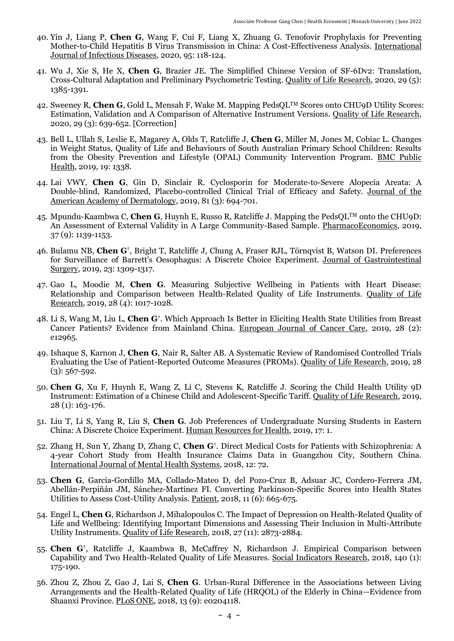- 40. Yin J, Liang P, **Chen G**, Wang F, Cui F, Liang X, Zhuang G. [Tenofovir Prophylaxis for Preventing](https://linkinghub.elsevier.com/retrieve/pii/S1201971220301685)  [Mother-to-Child Hepatitis B Virus Transmission in China: A Cost-Effectiveness Analysis.](https://linkinghub.elsevier.com/retrieve/pii/S1201971220301685) [International](https://www.ijidonline.com/)  [Journal of Infectious Diseases,](https://www.ijidonline.com/) 2020, 95: 118-124.
- 41. Wu J, Xie S, He X, **Chen G**, Brazier JE. [The Simplified Chinese Version of SF-6Dv2: Translation,](https://link.springer.com/article/10.1007/s11136-020-02419-3)  [Cross-Cultural Adaptation and Preliminary Psychometric Testing.](https://link.springer.com/article/10.1007/s11136-020-02419-3) [Quality of Life Research,](http://link.springer.com/journal/11136) 2020, 29 (5): 1385-1391.
- 42. Sweeney R, **Chen G**, Gold L, Mensah F, Wake M. Mapping PedsQLTM [Scores onto CHU9D Utility Scores:](https://link.springer.com/article/10.1007%2Fs11136-019-02357-9)  [Estimation, Validation and A Comparison of Alternative Instrument Versions.](https://link.springer.com/article/10.1007%2Fs11136-019-02357-9) [Quality of Life Research,](http://link.springer.com/journal/11136) 2020, 29 (3): 639-652. [\[Correction\]](https://link.springer.com/content/pdf/10.1007/s11136-019-02382-8.pdf)
- 43. Bell L, Ullah S, Leslie E, Magarey A, Olds T, Ratcliffe J, **Chen G**, Miller M, Jones M, Cobiac L. [Changes](https://bmcpublichealth.biomedcentral.com/articles/10.1186/s12889-019-7710-4)  [in Weight Status, Quality of Life and Behaviours of South Australian Primary School Children: Results](https://bmcpublichealth.biomedcentral.com/articles/10.1186/s12889-019-7710-4)  [from the Obesity Prevention and Lifestyle \(OPAL\) Community Intervention Program.](https://bmcpublichealth.biomedcentral.com/articles/10.1186/s12889-019-7710-4) [BMC Public](https://bmcpublichealth.biomedcentral.com/)  [Health,](https://bmcpublichealth.biomedcentral.com/) 2019, 19: 1338.
- 44. Lai VWY, **Chen G**, Gin D, Sinclair R. [Cyclosporin for Moderate-to-Severe Alopecia Areata: A](https://doi.org/10.1016/j.jaad.2019.04.053)  [Double-blind, Randomized, Placebo-controlled Clinical Trial of Efficacy and Safety.](https://doi.org/10.1016/j.jaad.2019.04.053) [Journal of the](https://www.jaad.org/)  [American Academy of Dermatology,](https://www.jaad.org/) 2019, 81 (3): 694-701.
- 45. Mpundu-Kaambwa C, **Chen G**, Huynh E, Russo R, Ratcliffe J. Mapping the PedsQL™ onto the CHU9D: [An Assessment of External Validity in A Large Community-Based Sample.](https://rdcu.be/bFyj5) [PharmacoEconomics,](http://link.springer.com/journal/40273) 2019, 37 (9): 1139-1153.
- 46. Bulamu NB, **Chen G†** , Bright T, Ratcliffe J, Chung A, Fraser RJL, Törnqvist B, Watson DI. [Preferences](https://rdcu.be/bb28h)  [for Surveillance of Barrett's Oesophagus: A Discrete Choice](https://rdcu.be/bb28h) Experiment. [Journal of Gastrointestinal](https://link.springer.com/journal/11605)  [Surgery,](https://link.springer.com/journal/11605) 2019, 23: 1309-1317.
- 47. Gao L, Moodie M, **Chen G**. [Measuring Subjective Wellbeing in Patients with Heart Disease:](https://rdcu.be/bfeV8)  [Relationship and Comparison between Health-Related Quality of Life Instruments.](https://rdcu.be/bfeV8) [Quality of Life](http://link.springer.com/journal/11136)  [Research,](http://link.springer.com/journal/11136) 2019, 28 (4): 1017-1028.
- 48. Li S, Wang M, Liu L, **Chen G†** . [Which Approach Is Better in Eliciting Health State Utilities from Breast](https://rdcu.be/bcbCa)  [Cancer Patients? Evidence from Mainland China.](https://rdcu.be/bcbCa) [European Journal of Cancer Care,](https://onlinelibrary.wiley.com/journal/13652354) 2019, 28 (2): e12965.
- 49. Ishaque S, Karnon J, **Chen G**, Nair R, Salter AB. [A Systematic Review of Randomised Controlled Trials](https://link.springer.com/article/10.1007/s11136-018-2016-z)  [Evaluating the Use of Patient-Reported Outcome Measures \(PROMs\).](https://link.springer.com/article/10.1007/s11136-018-2016-z) [Quality of Life Research,](http://link.springer.com/journal/11136) 2019, 28  $(3): 567 - 592.$
- 50. **Chen G**, Xu F, Huynh E, Wang Z, Li C, Stevens K, Ratcliffe J. [Scoring the Child Health Utility 9D](https://link.springer.com/article/10.1007%2Fs11136-018-2032-z)  [Instrument: Estimation of a Chinese Child and Adolescent-Specific Tariff.](https://link.springer.com/article/10.1007%2Fs11136-018-2032-z) [Quality of Life Research,](http://link.springer.com/journal/11136) 2019, 28 (1): 163-176.
- 51. Liu T, Li S, Yang R, Liu S, **Chen G**. [Job Preferences of Undergraduate Nursing Students in Eastern](https://rdcu.be/bfluH)  [China: A Discrete Choice Experiment.](https://rdcu.be/bfluH) [Human Resources for Health,](https://human-resources-health.biomedcentral.com/) 2019, 17: 1.
- 52. Zhang H, Sun Y, Zhang D, Zhang C, **Chen G†** . [Direct Medical Costs for Patients with Schizophrenia: A](https://rdcu.be/bbT0x)  [4-year Cohort Study from Health Insurance Claims Data in Guangzhou City, Southern China.](https://rdcu.be/bbT0x) International Journal of Mental Health Systems, 2018, 12: 72.
- 53. **Chen G**, Garcia-Gordillo MA, Collado-Mateo D, del Pozo-Cruz B, Adsuar JC, Cordero-Ferrera JM, Abellán-Perpiñán JM, Sánchez-Martínez FI. [Converting Parkinson-Specific Scores into Health States](https://rdcu.be/T5Rb)  [Utilities to Assess Cost-Utility Analysis.](https://rdcu.be/T5Rb) [Patient,](https://link.springer.com/journal/40271) 2018, 11 (6): 665-675.
- 54. Engel L, **Chen G**, Richardson J, Mihalopoulos C[. The Impact of Depression on Health-Related Quality of](https://rdcu.be/2VUL)  [Life and Wellbeing: Identifying Important Dimensions and Assessing Their Inclusion in Multi-Attribute](https://rdcu.be/2VUL)  [Utility Instruments.](https://rdcu.be/2VUL) [Quality of Life Research,](http://link.springer.com/journal/11136) 2018, 27 (11): 2873-2884.
- 55. **Chen G†** , Ratcliffe J, Kaambwa B, McCaffrey N, Richardson J. [Empirical Comparison between](http://rdcu.be/x4Bf)  [Capability and Two Health-Related Quality of Life Measures.](http://rdcu.be/x4Bf) [Social Indicators Research,](https://link.springer.com/journal/11205) 2018, 140 (1): 175-190.
- 56. Zhou Z, Zhou Z, Gao J, Lai S, **Chen G**. [Urban-Rural Difference in the Associations between Living](https://journals.plos.org/plosone/article?id=10.1371/journal.pone.0204118)  [Arrangements and the Health-Related Quality of Life \(HRQOL\) of the Elderly in China](https://journals.plos.org/plosone/article?id=10.1371/journal.pone.0204118)—Evidence from [Shaanxi Province.](https://journals.plos.org/plosone/article?id=10.1371/journal.pone.0204118) [PLoS ONE,](http://www.plosone.org/) 2018, 13 (9): e0204118.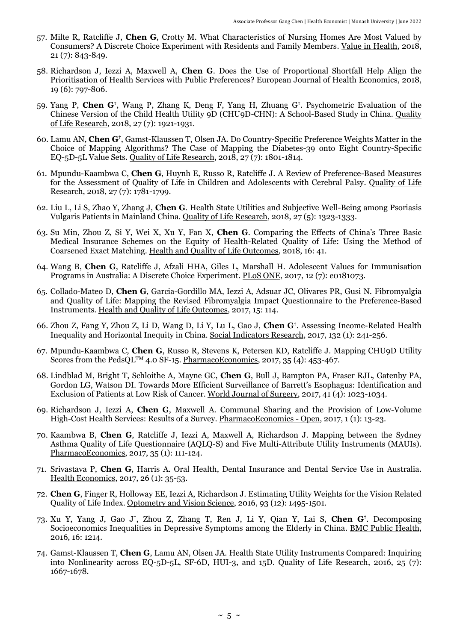- 57. Milte R, Ratcliffe J, **Chen G**, Crotty M. [What Characteristics of Nursing Homes Are Most Valued by](http://www.valueinhealthjournal.com/article/S1098-3015(17)33669-0/fulltext)  [Consumers? A Discrete Choice Experiment with Residents and Family Members.](http://www.valueinhealthjournal.com/article/S1098-3015(17)33669-0/fulltext) [Value in Health,](http://www.valueinhealthjournal.com/) 2018, 21 (7): 843-849.
- 58. Richardson J, Iezzi A, Maxwell A, **Chen G**. [Does the Use of Proportional Shortfall Help Align the](https://link.springer.com/article/10.1007%2Fs10198-017-0923-5)  [Prioritisation of Health Services with Public Preferences?](https://link.springer.com/article/10.1007%2Fs10198-017-0923-5) [European Journal of Health Economics,](https://link.springer.com/journal/10198) 2018, 19 (6): 797-806.
- 59. Yang P, **Chen G†** , Wang P, Zhang K, Deng F, Yang H, Zhuang G**†** . [Psychometric Evaluation of the](https://rdcu.be/Nyoj)  [Chinese Version of the Child Health Utility 9D \(CHU9D-CHN\): A School-Based Study in China.](https://rdcu.be/Nyoj) [Quality](http://link.springer.com/journal/11136)  [of Life Research,](http://link.springer.com/journal/11136) 2018, 27 (7): 1921-1931.
- 60. Lamu AN, **Chen G†** , Gamst-Klaussen T, Olsen JA. [Do Country-Specific Preference Weights Matter in the](http://rdcu.be/JEoR)  [Choice of Mapping Algorithms? The Case of Mapping the Diabetes-39 onto Eight Country-Specific](http://rdcu.be/JEoR)  [EQ-5D-5L Value Sets.](http://rdcu.be/JEoR) [Quality of Life Research,](http://link.springer.com/journal/11136) 2018, 27 (7): 1801-1814.
- 61. Mpundu-Kaambwa C, **Chen G**, Huynh E, Russo R, Ratcliffe J. [A Review of Preference-Based Measures](http://rdcu.be/JEoO)  [for the Assessment of Quality of Life in Children and Adolescents with Cerebral Palsy.](http://rdcu.be/JEoO) [Quality of Life](http://link.springer.com/journal/11136)  [Research,](http://link.springer.com/journal/11136) 2018, 27 (7): 1781-1799.
- 62. Liu L, Li S, Zhao Y, Zhang J, **Chen G**. [Health State Utilities and Subjective Well-Being among Psoriasis](https://link.springer.com/article/10.1007/s11136-018-1819-2)  [Vulgaris Patients in Mainland China.](https://link.springer.com/article/10.1007/s11136-018-1819-2) [Quality of Life Research,](http://link.springer.com/journal/11136) 2018, 27 (5): 1323-1333.
- 63. Su Min, Zhou Z, Si Y, Wei X, Xu Y, Fan X, **Chen G**. Comparing the Effects of China's Three Basic Medical Insurance Schemes on the Equity of Health-Related Quality of Life: Using the Method of Coarsened Exact Matching[. Health and Quality of Life Outcomes,](http://www.hqlo.com/) 2018, 16: 41.
- 64. Wang B, **Chen G**, Ratcliffe J, Afzali HHA, Giles L, Marshall H. [Adolescent Values for Immunisation](http://journals.plos.org/plosone/article?id=10.1371/journal.pone.0181073)  [Programs in Australia: A Discrete Choice Experiment.](http://journals.plos.org/plosone/article?id=10.1371/journal.pone.0181073) [PLoS ONE,](http://www.plosone.org/) 2017, 12 (7): e0181073.
- 65. Collado-Mateo D, **Chen G**, Garcia-Gordillo MA, Iezzi A, Adsuar JC, Olivares PR, Gusi N. [Fibromyalgia](https://hqlo.biomedcentral.com/articles/10.1186/s12955-017-0690-0)  [and Quality of Life: Mapping the Revised Fibromyalgia Impact Questionnaire to the Preference-Based](https://hqlo.biomedcentral.com/articles/10.1186/s12955-017-0690-0)  [Instruments.](https://hqlo.biomedcentral.com/articles/10.1186/s12955-017-0690-0) [Health and Quality of Life Outcomes,](http://www.hqlo.com/) 2017, 15: 114.
- 66. Zhou Z, Fang Y, Zhou Z, Li D, Wang D, Li Y, Lu L, Gao J, **Chen G†** . [Assessing Income-Related Health](https://rdcu.be/6qVw)  [Inequality and Horizontal Inequity in China.](https://rdcu.be/6qVw) [Social Indicators Research,](http://www.springer.com/social+sciences/journal/11205) 2017, 132 (1): 241-256.
- 67. Mpundu-Kaambwa C, **Chen G**, Russo R, Stevens K, Petersen KD, Ratcliffe J. [Mapping CHU9D Utility](http://link.springer.com/article/10.1007/s40273-016-0476-y)  [Scores from the PedsQL](http://link.springer.com/article/10.1007/s40273-016-0476-y)<sup>TM</sup> 4.0 SF-15. [PharmacoEconomics,](http://link.springer.com/journal/40273) 2017, 35 (4): 453-467.
- 68. Lindblad M, Bright T, Schloithe A, Mayne GC, **Chen G**, Bull J, Bampton PA, Fraser RJL, Gatenby PA, Gordon LG, Watson DI. Towards M[ore Efficient Surveillance of Barrett's Esophagus](http://rdcu.be/pVFt): Identification and [Exclusion of Patients at Low Risk of Cancer.](http://rdcu.be/pVFt) [World Journal](http://link.springer.com/journal/268) of Surgery, 2017, 41 (4): 1023-1034.
- 69. Richardson J, Iezzi A, **Chen G**, Maxwell A. [Communal Sharing and the Provision of Low-Volume](http://link.springer.com/article/10.1007/s41669-016-0002-3)  [High-Cost Health Services: Results of a Survey.](http://link.springer.com/article/10.1007/s41669-016-0002-3) [PharmacoEconomics -](http://www.springer.com/adis/journal/41669) Open, 2017, 1 (1): 13-23.
- 70. Kaambwa B, **Chen G**, Ratcliffe J, Iezzi A, Maxwell A, Richardson J. [Mapping between the Sydney](http://link.springer.com/article/10.1007/s40273-016-0446-4)  [Asthma Quality of Life Questionnaire \(AQLQ-S\) and Five Multi-Attribute Utility Instruments \(MAUIs\).](http://link.springer.com/article/10.1007/s40273-016-0446-4) [PharmacoEconomics,](http://link.springer.com/journal/40273) 2017, 35 (1): 111-124.
- 71. Srivastava P, **Chen G**, Harris A. [Oral Health, Dental Insurance and Dental Service Use in Australia.](http://dx.doi.org/10.1002/hec.3272) [Health Economics,](http://onlinelibrary.wiley.com/journal/10.1002/(ISSN)1099-1050) 2017, 26 (1): 35-53.
- 72. **Chen G**, Finger R, Holloway EE, Iezzi A, Richardson J. [Estimating Utility Weights for the Vision Related](http://journals.lww.com/optvissci/pages/articleviewer.aspx?year=2016&issue=12000&article=00007&type=abstract)  [Quality of Life Index.](http://journals.lww.com/optvissci/pages/articleviewer.aspx?year=2016&issue=12000&article=00007&type=abstract) [Optometry and Vision Science,](http://journals.lww.com/optvissci/pages/default.aspx) 2016, 93 (12): 1495-1501.
- 73. Xu Y, Yang J, Gao J**†** , Zhou Z, Zhang T, Ren J, Li Y, Qian Y, Lai S, **Chen G†** . [Decomposing](https://bmcpublichealth.biomedcentral.com/articles/10.1186/s12889-016-3876-1)  [Socioeconomics Inequalities in Depressive Symptoms among the Elderly in China.](https://bmcpublichealth.biomedcentral.com/articles/10.1186/s12889-016-3876-1) [BMC Public Health,](http://www.biomedcentral.com/bmcpublichealth/manuscript) 2016, 16: 1214.
- 74. Gamst-Klaussen T, **Chen G**, Lamu AN, Olsen JA. [Health State Utility Instruments Compared: Inquiring](http://dx.doi.org/10.1007/s11136-015-1212-3)  [into Nonlinearity across EQ-5D-5L, SF-6D, HUI-3, and 15D.](http://dx.doi.org/10.1007/s11136-015-1212-3) [Quality of Life Research,](http://link.springer.com/journal/11136) 2016, 25 (7): 1667-1678.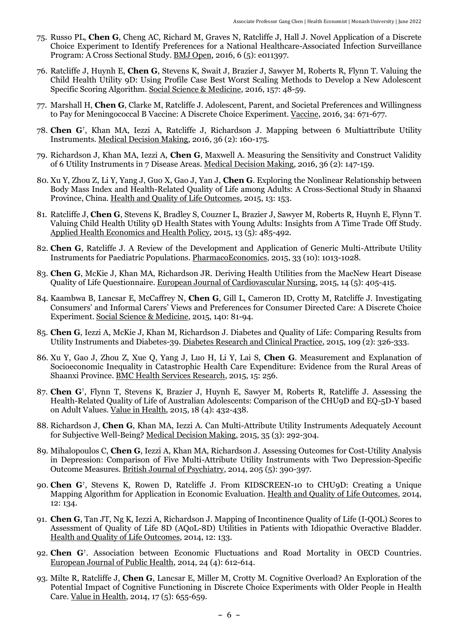- 75. Russo PL, **Chen G**, Cheng AC, Richard M, Graves N, Ratcliffe J, Hall J. [Novel Application of a Discrete](http://dx.doi.org/10.1136/bmjopen-2016-011397)  [Choice Experiment to Identify Preferences for a National Healthcare-Associated Infection Surveillance](http://dx.doi.org/10.1136/bmjopen-2016-011397)  [Program: A Cross Sectional Study.](http://dx.doi.org/10.1136/bmjopen-2016-011397) [BMJ Open,](http://bmjopen.bmj.com/) 2016, 6 (5): e011397.
- 76. Ratcliffe J, Huynh E, **Chen G**, Stevens K, Swait J, Brazier J, Sawyer M, Roberts R, Flynn T. [Valuing the](http://dx.doi.org/10.1016/j.socscimed.2016.03.042)  [Child Health Utility 9D: Using Profile Case Best Worst Scaling Methods to Develop a New Adolescent](http://dx.doi.org/10.1016/j.socscimed.2016.03.042)  [Specific Scoring Algorithm.](http://dx.doi.org/10.1016/j.socscimed.2016.03.042) [Social Science &](http://www.journals.elsevier.com/social-science-and-medicine/) Medicine, 2016, 157: 48-59.
- 77. Marshall H, **Chen G**, Clarke M, Ratcliffe J. [Adolescent, Parent, and Societal Preferences and Willingness](http://dx.doi.org/10.1016/j.vaccine.2015.11.075)  [to Pay for Meningococcal B Vaccine: A Discrete Choice Experiment.](http://dx.doi.org/10.1016/j.vaccine.2015.11.075) [Vaccine,](http://www.journals.elsevier.com/vaccine/) 2016, 34: 671-677.
- 78. **Chen G†** , Khan MA, Iezzi A, Ratcliffe J, Richardson J. [Mapping between 6 Multiattribute Utility](http://dx.doi.org/10.1177/0272989X15578127)  [Instruments.](http://dx.doi.org/10.1177/0272989X15578127) [Medical Decision Making,](http://mdm.sagepub.com/) 2016, 36 (2): 160-175.
- 79. Richardson J, Khan MA, Iezzi A, **Chen G**, Maxwell A. [Measuring the Sensitivity and Construct Validity](http://dx.doi.org/10.1177/0272989X15613522)  [of 6 Utility Instruments in 7 Disease Areas.](http://dx.doi.org/10.1177/0272989X15613522) [Medical Decision Making,](http://mdm.sagepub.com/) 2016, 36 (2): 147-159.
- 80. Xu Y, Zhou Z, Li Y, Yang J, Guo X, Gao J, Yan J, **Chen G**. [Exploring the Nonlinear Relationship between](http://dx.doi.org/10.1186/s12955-015-0347-9)  [Body Mass Index and Health-Related Quality of Life among Adults: A Cross-Sectional Study in Shaanxi](http://dx.doi.org/10.1186/s12955-015-0347-9)  [Province, China.](http://dx.doi.org/10.1186/s12955-015-0347-9) [Health and Quality of Life Outcomes,](http://www.hqlo.com/) 2015, 13: 153.
- 81. Ratcliffe J, **Chen G**, Stevens K, Bradley S, Couzner L, Brazier J, Sawyer M, Roberts R, Huynh E, Flynn T. [Valuing Child Health Utility 9D Health States with Young Adults: Insights from A Time Trade Off Study.](http://dx.doi.org/10.1007/s40258-015-0184-3) [Applied Health Economics and Health Policy,](http://link.springer.com/journal/40258) 2015, 13 (5): 485-492.
- 82. **Chen G**, Ratcliffe J. [A Review of the Development and Application of Generic Multi-Attribute Utility](http://dx.doi.org/10.1007/s40273-015-0286-7)  [Instruments for Paediatric Populations.](http://dx.doi.org/10.1007/s40273-015-0286-7) [PharmacoEconomics,](http://link.springer.com/journal/40273) 2015, 33 (10): 1013-1028.
- 83. **Chen G**, McKie J, Khan MA, Richardson JR. [Deriving Health Utilities from the MacNew Heart Disease](http://dx.doi.org/10.1177/1474515114536096)  [Quality of Life Questionnaire.](http://dx.doi.org/10.1177/1474515114536096) [European Journal of Cardiovascular Nursing,](http://cnu.sagepub.com/) 2015, 14 (5): 405-415.
- 84. Kaambwa B, Lancsar E, McCaffrey N, **Chen G**, Gill L, Cameron ID, Crotty M, Ratcliffe J. [Investigating](http://dx.doi.org/10.1016/j.socscimed.2015.06.034)  [Consumers' and Informal Carers' Views and Preferences for Consumer Directed Care: A Discrete Choice](http://dx.doi.org/10.1016/j.socscimed.2015.06.034)  [Experiment.](http://dx.doi.org/10.1016/j.socscimed.2015.06.034) [Social Science &](http://www.journals.elsevier.com/social-science-and-medicine/) Medicine, 2015, 140: 81-94.
- 85. **Chen G**, Iezzi A, McKie J, Khan M, Richardson J. [Diabetes and Quality of Life: Comparing Results from](http://dx.doi.org/10.1016/j.diabres.2015.05.011)  [Utility Instruments and Diabetes-39.](http://dx.doi.org/10.1016/j.diabres.2015.05.011) [Diabetes Research and Clinical Practice,](http://ees.elsevier.com/diab/default.asp?pg=login.asp) 2015, 109 (2): 326-333.
- 86. Xu Y, Gao J, Zhou Z, Xue Q, Yang J, Luo H, Li Y, Lai S, **Chen G**. [Measurement and Explanation of](http://dx.doi.org/10.1186/s12913-015-0892-2)  [Socioeconomic Inequality in Catastrophic Health Care Expenditure: Evidence from the Rural Areas of](http://dx.doi.org/10.1186/s12913-015-0892-2)  [Shaanxi Province.](http://dx.doi.org/10.1186/s12913-015-0892-2) [BMC Health Services Research,](http://www.biomedcentral.com/bmchealthservres) 2015, 15: 256.
- 87. **Chen G†** , Flynn T, Stevens K, Brazier J, Huynh E, Sawyer M, Roberts R, Ratcliffe J. [Assessing the](http://dx.doi.org/10.1016/j.jval.2015.02.014)  [Health-Related Quality of Life of Australian Adolescents: Comparison of the CHU9D and EQ-5D-Y based](http://dx.doi.org/10.1016/j.jval.2015.02.014)  [on Adult Values.](http://dx.doi.org/10.1016/j.jval.2015.02.014) [Value in Health,](http://www.valueinhealthjournal.com/) 2015, 18 (4): 432-438.
- 88. Richardson J, **Chen G**, Khan MA, Iezzi A. [Can Multi-Attribute Utility Instruments Adequately Account](http://dx.doi.org/10.1177/0272989X14567354)  [for Subjective Well-Being?](http://dx.doi.org/10.1177/0272989X14567354) [Medical Decision Making,](http://mdm.sagepub.com/) 2015, 35 (3): 292-304.
- 89. Mihalopoulos C, **Chen G**, Iezzi A, Khan MA, Richardson J. [Assessing Outcomes for Cost-Utility Analysis](http://dx.doi.org/10.1192/bjp.bp.113.136036)  [in Depression: Comparison of Five Multi-Attribute Utility Instruments with Two Depression-Specific](http://dx.doi.org/10.1192/bjp.bp.113.136036)  [Outcome Measures.](http://dx.doi.org/10.1192/bjp.bp.113.136036) [British Journal of Psychiatry,](http://bjp.rcpsych.org/) 2014, 205 (5): 390-397.
- 90. **Chen G†** , Stevens K, Rowen D, Ratcliffe J. [From KIDSCREEN-10 to CHU9D: Creating a Unique](http://dx.doi.org/10.1186/s12955-014-0134-z)  [Mapping Algorithm for Application in Economic Evaluation.](http://dx.doi.org/10.1186/s12955-014-0134-z) [Health and Quality of Life Outcomes,](http://www.hqlo.com/) 2014, 12: 134.
- 91. **Chen G**, Tan JT, Ng K, Iezzi A, Richardson J. [Mapping of Incontinence Quality of Life \(I-QOL\) Scores to](http://dx.doi.org/10.1186/s12955-014-0133-0)  [Assessment of Quality of Life 8D \(AQoL-8D\) Utilities](http://dx.doi.org/10.1186/s12955-014-0133-0) in Patients with Idiopathic Overactive Bladder. [Health and Quality of Life Outcomes,](http://www.hqlo.com/) 2014, 12: 133.
- 92. **Chen G†** . [Association between Economic Fluctuations and Road Mortality in OECD Countries.](http://dx.doi.org/10.1093/eurpub/cku014) [European Journal of Public Health,](http://eurpub.oxfordjournals.org/) 2014, 24 (4): 612-614.
- 93. Milte R, Ratcliffe J, **Chen G**, Lancsar E, Miller M, Crotty M. [Cognitive Overload? An Exploration of the](http://dx.doi.org/10.1016/j.jval.2014.05.005)  [Potential Impact of Cognitive Functioning in Discrete Choice Experiments with Older People in Health](http://dx.doi.org/10.1016/j.jval.2014.05.005)  [Care.](http://dx.doi.org/10.1016/j.jval.2014.05.005) [Value in Health,](http://www.valueinhealthjournal.com/) 2014, 17 (5): 655-659.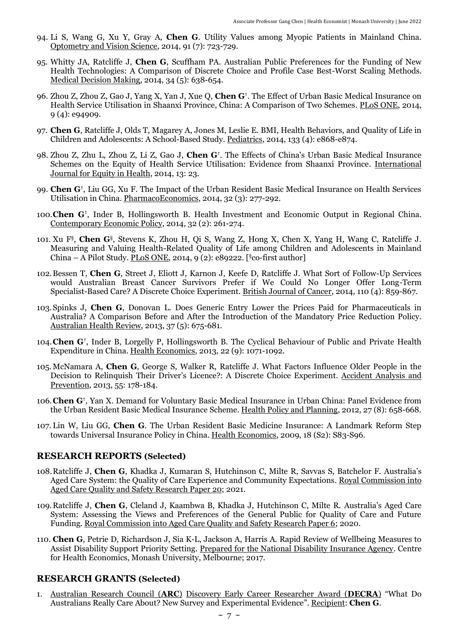- 94. Li S, Wang G, Xu Y, Gray A, **Chen G**. [Utility Values among Myopic Patients in Mainland China.](http://dx.doi.org/10.1097/OPX.0000000000000299) [Optometry and Vision Science,](http://journals.lww.com/optvissci/Pages/default.aspx) 2014, 91 (7): 723-729.
- 95. Whitty JA, Ratcliffe J, **Chen G**, Scuffham PA. [Australian Public Preferences for the Funding of New](http://dx.doi.org/10.1177/0272989X14526640)  [Health Technologies: A Comparison of Discrete Choice and Profile Case Best-Worst Scaling Methods.](http://dx.doi.org/10.1177/0272989X14526640) [Medical Decision Making,](http://mdm.sagepub.com/) 2014, 34 (5): 638-654.
- 96. Zhou Z, Zhou Z, Gao J, Yang X, Yan J, Xue Q, **Chen G†** . [The Effect of Urban Basic Medical Insurance on](http://dx.doi.org/10.1371/journal.pone.0094909)  [Health Service Utilisation in Shaanxi Province, China: A Comparison of Two Schemes.](http://dx.doi.org/10.1371/journal.pone.0094909) [PLoS ONE,](http://www.plosone.org/) 2014, 9 (4): e94909.
- 97. **Chen G**, Ratcliffe J, Olds T, Magarey A, Jones M, Leslie E. [BMI, Health Behaviors, and Quality of Life in](http://dx.doi.org/10.1542/peds.2013-0622)  [Children and Adolescents: A School-Based Study.](http://dx.doi.org/10.1542/peds.2013-0622) [Pediatrics,](http://pediatrics.aappublications.org/) 2014, 133 (4): e868-e874.
- 98. Zhou Z, Zhu L, Zhou Z, Li Z, Gao J, **Chen G†** . [The Effects of China's Urban Basic Medical Insurance](http://dx.doi.org/10.1186/1475-9276-13-23)  [Schemes on the Equity of Health Service Utilisation: Evidence from Shaanxi Province.](http://dx.doi.org/10.1186/1475-9276-13-23) [International](http://www.equityhealthj.com/)  [Journal for Equity in Health,](http://www.equityhealthj.com/) 2014, 13: 23.
- 99. **Chen G†** , Liu GG, Xu F. [The Impact of the Urban Resident Basic Medical Insurance on Health Services](http://dx.doi.org/10.1007/s40273-013-0097-7)  [Utilisation in China.](http://dx.doi.org/10.1007/s40273-013-0097-7) [PharmacoEconomics,](http://link.springer.com/journal/40273) 2014, 32 (3): 277-292.
- 100.**Chen G†** , Inder B, Hollingsworth B. [Health Investment and Economic Output in Regional China.](http://dx.doi.org/10.1111/coep.12022) [Contemporary Economic Policy,](http://onlinelibrary.wiley.com/journal/10.1111/(ISSN)1465-7287) 2014, 32 (2): 261-274.
- 101. Xu F§ , **Chen G**§ , Stevens K, Zhou H, Qi S, Wang Z, Hong X, Chen X, Yang H, Wang C, Ratcliffe J. [Measuring and Valuing Health-Related Quality of Life among Children and Adolescents in Mainland](http://dx.doi.org/10.1371/journal.pone.0089222)  China – [A Pilot Study.](http://dx.doi.org/10.1371/journal.pone.0089222) [PLoS ONE,](http://www.plosone.org/) 2014, 9 (2): e89222. [ $\S$ co-first author]
- 102.Bessen T, **Chen G**, Street J, Eliott J, Karnon J, Keefe D, Ratcliffe J. [What Sort of Follow-Up Services](http://dx.doi.org/10.1038/bjc.2013.800)  [would Australian Breast Cancer Survivors Prefer if We Could No Longer Offer Long-Term](http://dx.doi.org/10.1038/bjc.2013.800)  [Specialist-Based Care? A Discrete Choice Experiment.](http://dx.doi.org/10.1038/bjc.2013.800) [British Journal of Cancer,](http://mts-bjcancer.nature.com/cgi-bin/main.plex) 2014, 110 (4): 859-867.
- 103.Spinks J, **Chen G**, Donovan L. [Does Generic Entry Lower the Prices Paid for Pharmaceuticals in](http://dx.doi.org/10.1071/AH13024)  [Australia? A Comparison Before and After the Introduction of the Mandatory Price Reduction Policy.](http://dx.doi.org/10.1071/AH13024) [Australian Health Review,](http://www.publish.csiro.au/nid/270.htm) 2013, 37 (5): 675-681.
- 104.**Chen G†** , Inder B, Lorgelly P, Hollingsworth B. [The Cyclical Behaviour of Public and Private Health](http://dx.doi.org/10.1002/hec.2957)  [Expenditure in China.](http://dx.doi.org/10.1002/hec.2957) [Health Economics,](http://onlinelibrary.wiley.com/journal/10.1002/(ISSN)1099-1050) 2013, 22 (9): 1071-1092.
- 105.McNamara A, **Chen G**, George S, Walker R, Ratcliffe J. [What Factors Influence Older People in the](http://dx.doi.org/10.1016/j.aap.2013.02.034)  [Decision to Relinquish Their Driver's Licence?: A Discrete Choice Experiment](http://dx.doi.org/10.1016/j.aap.2013.02.034). [Accident Analysis and](http://www.journals.elsevier.com/accident-analysis-and-prevention/)  [Prevention,](http://www.journals.elsevier.com/accident-analysis-and-prevention/) 2013, 55: 178-184.
- 106.**Chen G†** , Yan X. [Demand for Voluntary Basic Medical Insurance in Urban China: Panel Evidence from](http://dx.doi.org/10.1093/heapol/czs014)  [the Urban Resident Basic Medical Insurance](http://dx.doi.org/10.1093/heapol/czs014) Scheme. [Health Policy and Planning,](http://heapol.oxfordjournals.org/) 2012, 27 (8): 658-668.
- 107. Lin W, Liu GG, **Chen G**. [The Urban Resident Basic Medicine Insurance: A Landmark Reform Step](http://dx.doi.org/10.1002/hec.1500)  [towards Universal Insurance Policy in China.](http://dx.doi.org/10.1002/hec.1500) [Health Economics,](http://onlinelibrary.wiley.com/journal/10.1002/(ISSN)1099-1050) 2009, 18 (S2): S83-S96.

#### **RESEARCH REPORTS (Selected)**

- 108.Ratcliffe J, **Chen G**, Khadka J, Kumaran S, Hutchinson C, Milte R, Savvas S, Batchelor F. [Australia's](https://agedcare.royalcommission.gov.au/publications/research-paper-20-quality-care-experience-and-community-expectations)  [Aged Care System: the Quality of Care Experience and Community Expectations.](https://agedcare.royalcommission.gov.au/publications/research-paper-20-quality-care-experience-and-community-expectations) Royal Commission into Aged Care Quality and Safety Research Paper 20; 2021.
- 109.Ratcliffe J, **Chen G**, Cleland J, Kaambwa B, Khadka J, Hutchinson C, Milte R. [Australia's Aged Care](https://agedcare.royalcommission.gov.au/publications/research-paper-6-australias-aged-care-system-assessing-views-and-preferences-general-public-quality-care-and-future-funding)  [System: Assessing the Views and Preferences of the General Public for Quality of Care and Future](https://agedcare.royalcommission.gov.au/publications/research-paper-6-australias-aged-care-system-assessing-views-and-preferences-general-public-quality-care-and-future-funding)  [Funding.](https://agedcare.royalcommission.gov.au/publications/research-paper-6-australias-aged-care-system-assessing-views-and-preferences-general-public-quality-care-and-future-funding) Royal Commission into Aged Care Quality and Safety Research Paper 6; 2020.
- 110. **Chen G**, Petrie D, Richardson J, Sia K-L, Jackson A, Harris A. Rapid Review of Wellbeing Measures to Assist Disability Support Priority Setting. Prepared for the National Disability Insurance Agency. Centre for Health Economics, Monash University, Melbourne; 2017.

#### **RESEARCH GRANTS (Selected)**

1. [Australian Research Council \(](http://www.arc.gov.au/)**ARC**) [Discovery Early Career Researcher Award \(](http://www.arc.gov.au/discovery-early-career-researcher-award)**DECRA**) "What Do Australians Really Care About? New Survey and Experimental Evidence". Recipient: **Chen G**.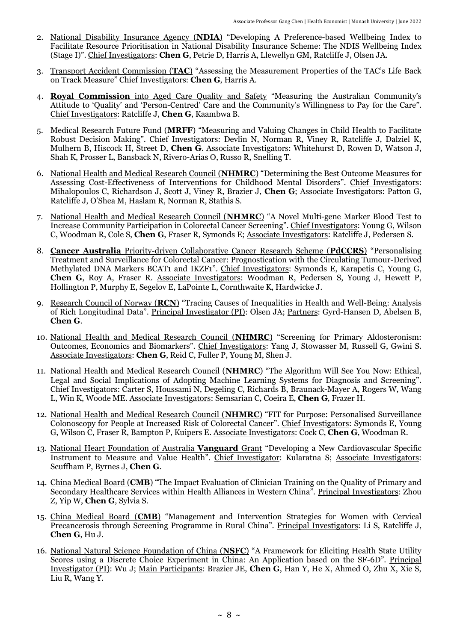- 2. National Disability Insurance Agency (**NDIA**) "Developing A Preference-based Wellbeing Index to Facilitate Resource Prioritisation in National Disability Insurance Scheme: The NDIS Wellbeing Index (Stage I)". Chief Investigators: **Chen G**, Petrie D, Harris A, Llewellyn GM, Ratcliffe J, Olsen JA.
- 3. Transport Accident Commission (**TAC**) "Assessing the Measurement Properties of the TAC's Life Back on Track Measure" Chief Investigators: **Chen G**, Harris A.
- 4. **Royal Commission** into Aged Care Quality and Safety "Measuring the Australian Community's Attitude to 'Quality' and 'Person-Centred' Care and the Community's Willingness to Pay for the Care". Chief Investigators: Ratcliffe J, **Chen G**, Kaambwa B.
- 5. Medical Research Future Fund (**MRFF**) "Measuring and Valuing Changes in Child Health to Facilitate Robust Decision Making". Chief Investigators: Devlin N, Norman R, Viney R, Ratcliffe J, Dalziel K, Mulhern B, Hiscock H, Street D, **Chen G**. Associate Investigators: Whitehurst D, Rowen D, Watson J, Shah K, Prosser L, Bansback N, Rivero-Arias O, Russo R, Snelling T.
- 6. National Health and Medical Research Council (**NHMRC**) "Determining the Best Outcome Measures for Assessing Cost-Effectiveness of Interventions for Childhood Mental Disorders". Chief Investigators: Mihalopoulos C, Richardson J, Scott J, Viney R, Brazier J, **Chen G**; Associate Investigators: Patton G, Ratcliffe J, O'Shea M, Haslam R, Norman R, Stathis S.
- 7. National Health and Medical Research Council (**NHMRC**) "A Novel Multi-gene Marker Blood Test to Increase Community Participation in Colorectal Cancer Screening". Chief Investigators: Young G, Wilson C, Woodman R, Cole S, **Chen G**, Fraser R, Symonds E; Associate Investigators: Ratcliffe J, Pedersen S.
- 8. **Cancer Australia** Priority-driven Collaborative Cancer Research Scheme (**PdCCRS**) "Personalising Treatment and Surveillance for Colorectal Cancer: Prognostication with the Circulating Tumour-Derived Methylated DNA Markers BCAT1 and IKZF1". Chief Investigators: Symonds E, Karapetis C, Young G, **Chen G**, Roy A, Fraser R. Associate Investigators: Woodman R, Pedersen S, Young J, Hewett P, Hollington P, Murphy E, Segelov E, LaPointe L, Cornthwaite K, Hardwicke J.
- 9. Research Council of Norway (**RCN**) "Tracing Causes of Inequalities in Health and Well-Being: Analysis of Rich Longitudinal Data". Principal Investigator (PI): Olsen JA; Partners: Gyrd-Hansen D, Abelsen B, **Chen G**.
- 10. National Health and Medical Research Council (**NHMRC**) "Screening for Primary Aldosteronism: Outcomes, Economics and Biomarkers". Chief Investigators: Yang J, Stowasser M, Russell G, Gwini S. Associate Investigators: **Chen G**, Reid C, Fuller P, Young M, Shen J.
- 11. National Health and Medical Research Council (**NHMRC**) "The Algorithm Will See You Now: Ethical, Legal and Social Implications of Adopting Machine Learning Systems for Diagnosis and Screening". Chief Investigators: Carter S, Houssami N, Degeling C, Richards B, Braunack-Mayer A, Rogers W, Wang L, Win K, Woode ME. Associate Investigators: Semsarian C, Coeira E, **Chen G**, Frazer H.
- 12. National Health and Medical Research Council (**NHMRC**) "FIT for Purpose: Personalised Surveillance Colonoscopy for People at Increased Risk of Colorectal Cancer". Chief Investigators: Symonds E, Young G, Wilson C, Fraser R, Bampton P, Kuipers E. Associate Investigators: Cock C, **Chen G**, Woodman R.
- 13. National Heart Foundation of Australia **Vanguard** Grant "Developing a New Cardiovascular Specific Instrument to Measure and Value Health". Chief Investigator: Kularatna S; Associate Investigators: Scuffham P, Byrnes J, **Chen G**.
- 14. China Medical Board (**CMB**) "The Impact Evaluation of Clinician Training on the Quality of Primary and Secondary Healthcare Services within Health Alliances in Western China". Principal Investigators: Zhou Z, Yip W, **Chen G**, Sylvia S.
- 15. China Medical Board (**CMB**) "Management and Intervention Strategies for Women with Cervical Precancerosis through Screening Programme in Rural China". Principal Investigators: Li S, Ratcliffe J, **Chen G**, Hu J.
- 16. National Natural Science Foundation of China (**NSFC**) "A Framework for Eliciting Health State Utility Scores using a Discrete Choice Experiment in China: An Application based on the SF-6D". Principal Investigator (PI): Wu J; Main Participants: Brazier JE, **Chen G**, Han Y, He X, Ahmed O, Zhu X, Xie S, Liu R, Wang Y.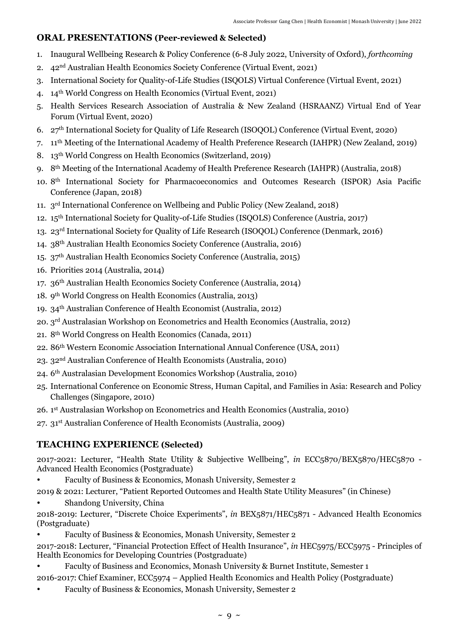### **ORAL PRESENTATIONS (Peer-reviewed & Selected)**

- 1. Inaugural Wellbeing Research & Policy Conference (6-8 July 2022, University of Oxford), *forthcoming*
- 2. 42nd Australian Health Economics Society Conference (Virtual Event, 2021)
- 3. International Society for Quality-of-Life Studies (ISQOLS) Virtual Conference (Virtual Event, 2021)
- 4. 14 th World Congress on Health Economics (Virtual Event, 2021)
- 5. Health Services Research Association of Australia & New Zealand (HSRAANZ) Virtual End of Year Forum (Virtual Event, 2020)
- 6. 27th International Society for Quality of Life Research (ISOQOL) Conference (Virtual Event, 2020)
- 7. 11th Meeting of the International Academy of Health Preference Research (IAHPR) (New Zealand, 2019)
- 8. 13 th World Congress on Health Economics (Switzerland, 2019)
- 9. 8th Meeting of the International Academy of Health Preference Research (IAHPR) (Australia, 2018)
- 10. 8th International Society for Pharmacoeconomics and Outcomes Research (ISPOR) Asia Pacific Conference (Japan, 2018)
- 11. 3<sup>rd</sup> International Conference on Wellbeing and Public Policy (New Zealand, 2018)
- 12. 15th International Society for Quality-of-Life Studies (ISQOLS) Conference (Austria, 2017)
- 13. 23rd International Society for Quality of Life Research (ISOQOL) Conference (Denmark, 2016)
- 14. 38th Australian Health Economics Society Conference (Australia, 2016)
- 15. 37th Australian Health Economics Society Conference (Australia, 2015)
- 16. Priorities 2014 (Australia, 2014)
- 17. 36th Australian Health Economics Society Conference (Australia, 2014)
- 18. 9<sup>th</sup> World Congress on Health Economics (Australia, 2013)
- 19. 34th Australian Conference of Health Economist (Australia, 2012)
- 20. 3 rd Australasian Workshop on Econometrics and Health Economics (Australia, 2012)
- 21. 8th World Congress on Health Economics (Canada, 2011)
- 22. 86th Western Economic Association International Annual Conference (USA, 2011)
- 23. 32nd Australian Conference of Health Economists (Australia, 2010)
- 24. 6 th Australasian Development Economics Workshop (Australia, 2010)
- 25. International Conference on Economic Stress, Human Capital, and Families in Asia: Research and Policy Challenges (Singapore, 2010)
- 26. 1 st Australasian Workshop on Econometrics and Health Economics (Australia, 2010)
- 27. 31st Australian Conference of Health Economists (Australia, 2009)

## **TEACHING EXPERIENCE (Selected)**

2017-2021: Lecturer, "Health State Utility & Subjective Wellbeing", *in* ECC5870/BEX5870/HEC5870 -Advanced Health Economics (Postgraduate)

- Faculty of Business & Economics, Monash University, Semester 2
- 2019 & 2021: Lecturer, "Patient Reported Outcomes and Health State Utility Measures" (in Chinese)
- Shandong University, China

2018-2019: Lecturer, "Discrete Choice Experiments", *in* BEX5871/HEC5871 - Advanced Health Economics (Postgraduate)

- Faculty of Business & Economics, Monash University, Semester 2
- 2017-2018: Lecturer, "Financial Protection Effect of Health Insurance", *in* HEC5975/ECC5975 Principles of Health Economics for Developing Countries (Postgraduate)
- Faculty of Business and Economics, Monash University & Burnet Institute, Semester 1 2016-2017: Chief Examiner, ECC5974 – Applied Health Economics and Health Policy (Postgraduate)
- Faculty of Business & Economics, Monash University, Semester 2